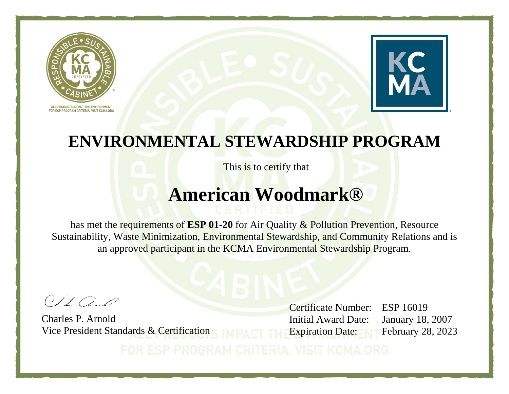



This is to certify that

# **American Woodmark®**

has met the requirements of **ESP 01-20** for Air Quality & Pollution Prevention, Resource Sustainability, Waste Minimization, Environmental Stewardship, and Community Relations and is an approved participant in the KCMA Environmental Stewardship Program.

 $O1100$ 

Charles P. Arnold Vice President Standards & Certification

Certificate Number: ESP 16019 Initial Award Date: January 18, 2007 Expiration Date: February 28, 2023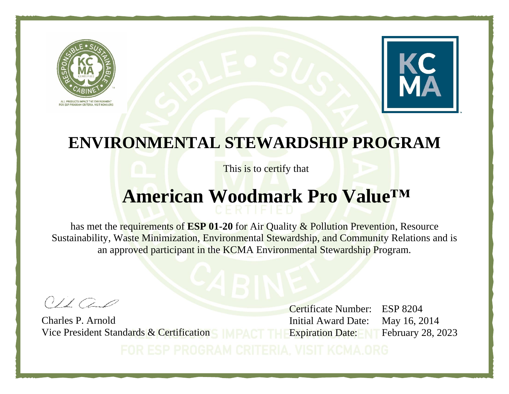



This is to certify that

### **American Woodmark Pro Value™**

has met the requirements of **ESP 01-20** for Air Quality & Pollution Prevention, Resource Sustainability, Waste Minimization, Environmental Stewardship, and Community Relations and is an approved participant in the KCMA Environmental Stewardship Program.

 $011$ 

Charles P. Arnold Vice President Standards & Certification

Certificate Number: ESP 8204 Initial Award Date: May 16, 2014 Expiration Date: February 28, 2023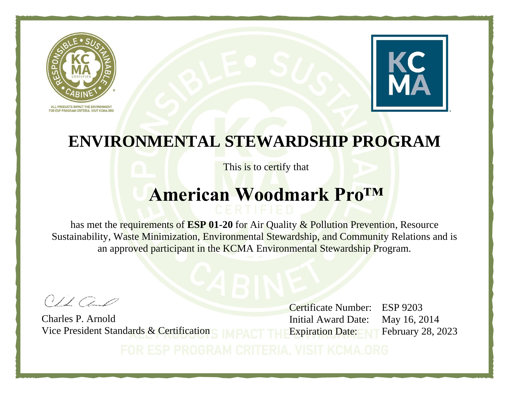



This is to certify that

# **American Woodmark Pro™**

has met the requirements of **ESP 01-20** for Air Quality & Pollution Prevention, Resource Sustainability, Waste Minimization, Environmental Stewardship, and Community Relations and is an approved participant in the KCMA Environmental Stewardship Program.

 $O1100$ 

Charles P. Arnold Vice President Standards & Certification

Certificate Number: ESP 9203 Initial Award Date: May 16, 2014 Expiration Date: February 28, 2023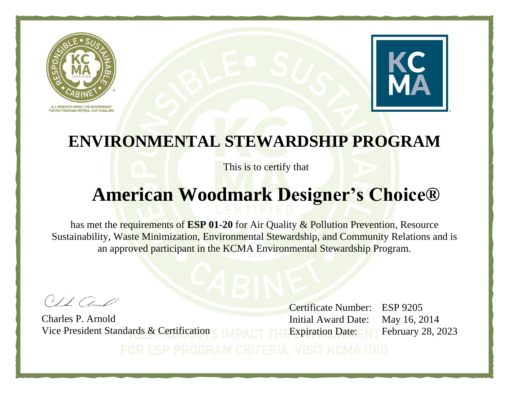



This is to certify that

# **American Woodmark Designer's Choice®**

has met the requirements of **ESP 01-20** for Air Quality & Pollution Prevention, Resource Sustainability, Waste Minimization, Environmental Stewardship, and Community Relations and is an approved participant in the KCMA Environmental Stewardship Program.

 $O1100$ 

Charles P. Arnold Vice President Standards & Certification

Certificate Number: ESP 9205 Initial Award Date: May 16, 2014 Expiration Date: February 28, 2023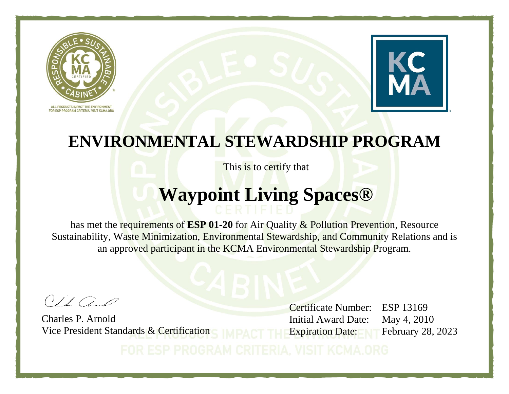



This is to certify that

# **Waypoint Living Spaces®**

has met the requirements of **ESP 01-20** for Air Quality & Pollution Prevention, Resource Sustainability, Waste Minimization, Environmental Stewardship, and Community Relations and is an approved participant in the KCMA Environmental Stewardship Program.

 $O1100$ 

Charles P. Arnold Vice President Standards & Certification

Certificate Number: ESP 13169 Initial Award Date: May 4, 2010 Expiration Date: February 28, 2023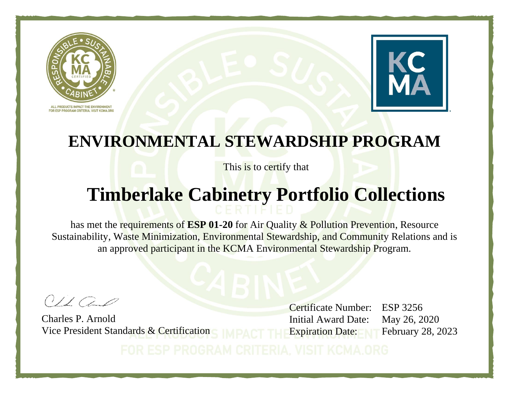



This is to certify that

### **Timberlake Cabinetry Portfolio Collections**

has met the requirements of **ESP 01-20** for Air Quality & Pollution Prevention, Resource Sustainability, Waste Minimization, Environmental Stewardship, and Community Relations and is an approved participant in the KCMA Environmental Stewardship Program.

 $O1100$ 

Charles P. Arnold Vice President Standards & Certification

Certificate Number: ESP 3256 Initial Award Date: May 26, 2020 Expiration Date: February 28, 2023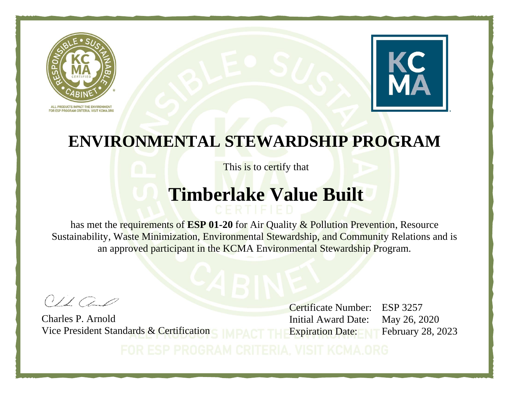



This is to certify that

# **Timberlake Value Built**

has met the requirements of **ESP 01-20** for Air Quality & Pollution Prevention, Resource Sustainability, Waste Minimization, Environmental Stewardship, and Community Relations and is an approved participant in the KCMA Environmental Stewardship Program.

 $O1100$ 

Charles P. Arnold Vice President Standards & Certification

Certificate Number: ESP 3257 Initial Award Date: May 26, 2020 Expiration Date: February 28, 2023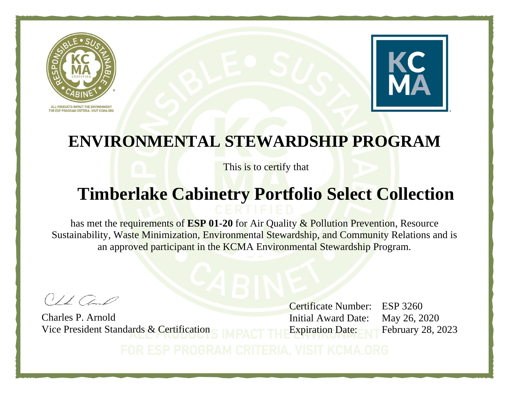



This is to certify that

# **Timberlake Cabinetry Portfolio Select Collection**

has met the requirements of **ESP 01-20** for Air Quality & Pollution Prevention, Resource Sustainability, Waste Minimization, Environmental Stewardship, and Community Relations and is an approved participant in the KCMA Environmental Stewardship Program.

 $O/LCA$ 

Charles P. Arnold Vice President Standards & Certification

Certificate Number: ESP 3260 Initial Award Date: May 26, 2020 Expiration Date: February 28, 2023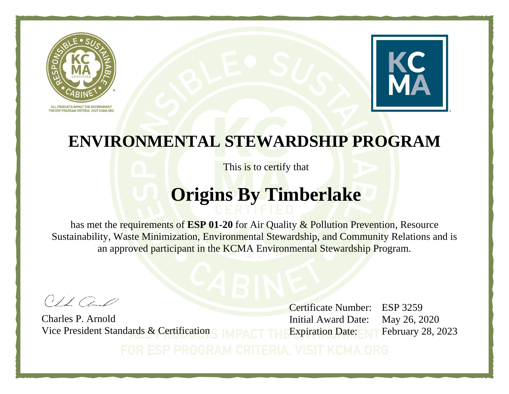



This is to certify that

### **Origins By Timberlake**

has met the requirements of **ESP 01-20** for Air Quality & Pollution Prevention, Resource Sustainability, Waste Minimization, Environmental Stewardship, and Community Relations and is an approved participant in the KCMA Environmental Stewardship Program.

 $O1100$ 

Charles P. Arnold Vice President Standards & Certification

Certificate Number: ESP 3259 Initial Award Date: May 26, 2020 Expiration Date: February 28, 2023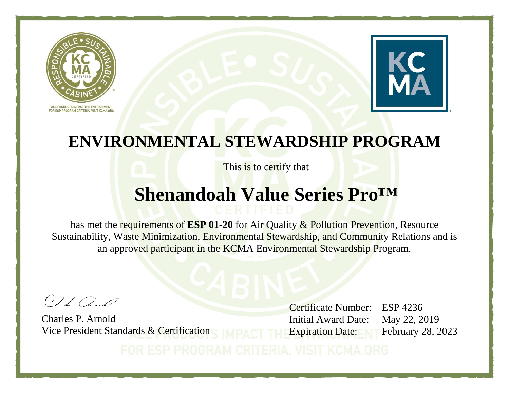



This is to certify that

### **Shenandoah Value Series Pro™**

has met the requirements of **ESP 01-20** for Air Quality & Pollution Prevention, Resource Sustainability, Waste Minimization, Environmental Stewardship, and Community Relations and is an approved participant in the KCMA Environmental Stewardship Program.

 $O1100$ 

Charles P. Arnold Vice President Standards & Certification

Certificate Number: ESP 4236 Initial Award Date: May 22, 2019 Expiration Date: February 28, 2023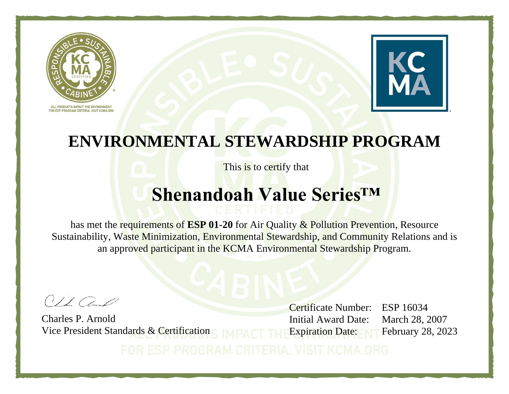



This is to certify that

# **Shenandoah Value Series™**

has met the requirements of **ESP 01-20** for Air Quality & Pollution Prevention, Resource Sustainability, Waste Minimization, Environmental Stewardship, and Community Relations and is an approved participant in the KCMA Environmental Stewardship Program.

 $O1100$ 

Charles P. Arnold Vice President Standards & Certification

Certificate Number: ESP 16034 Initial Award Date: March 28, 2007 Expiration Date: February 28, 2023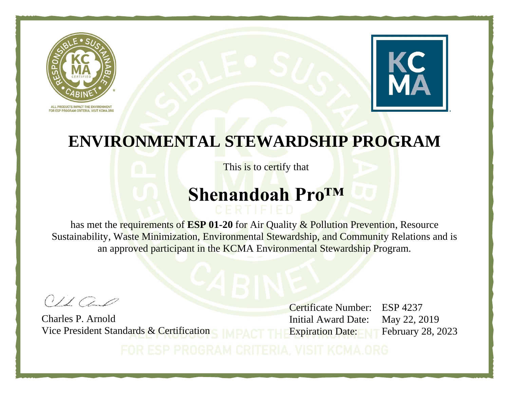



This is to certify that

### **Shenandoah Pro™**

has met the requirements of **ESP 01-20** for Air Quality & Pollution Prevention, Resource Sustainability, Waste Minimization, Environmental Stewardship, and Community Relations and is an approved participant in the KCMA Environmental Stewardship Program.

 $O1100$ 

Charles P. Arnold Vice President Standards & Certification

Certificate Number: ESP 4237 Initial Award Date: May 22, 2019 Expiration Date: February 28, 2023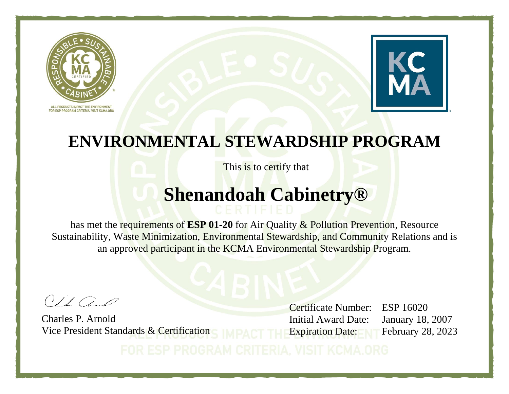



This is to certify that

### **Shenandoah Cabinetry®**

has met the requirements of **ESP 01-20** for Air Quality & Pollution Prevention, Resource Sustainability, Waste Minimization, Environmental Stewardship, and Community Relations and is an approved participant in the KCMA Environmental Stewardship Program.

 $O1100$ 

Charles P. Arnold Vice President Standards & Certification

Certificate Number: ESP 16020 Initial Award Date: January 18, 2007 Expiration Date: February 28, 2023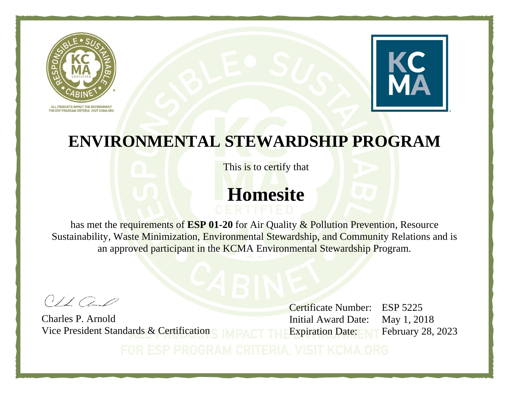



This is to certify that

# **Homesite**

has met the requirements of **ESP 01-20** for Air Quality & Pollution Prevention, Resource Sustainability, Waste Minimization, Environmental Stewardship, and Community Relations and is an approved participant in the KCMA Environmental Stewardship Program.

 $O1100$ 

Charles P. Arnold Vice President Standards & Certification

Certificate Number: ESP 5225 Initial Award Date: May 1, 2018 Expiration Date: February 28, 2023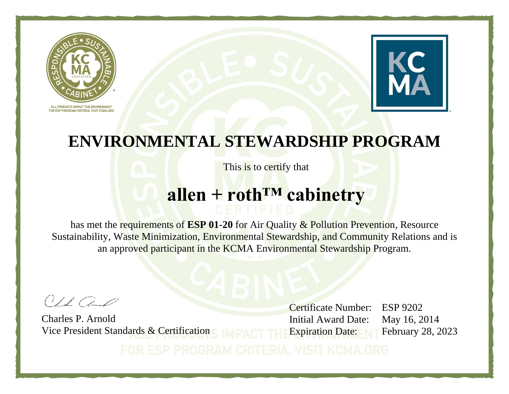



This is to certify that

# **allen + roth™ cabinetry**

has met the requirements of **ESP 01-20** for Air Quality & Pollution Prevention, Resource Sustainability, Waste Minimization, Environmental Stewardship, and Community Relations and is an approved participant in the KCMA Environmental Stewardship Program.

 $O1100$ 

Charles P. Arnold Vice President Standards & Certification

Certificate Number: ESP 9202 Initial Award Date: May 16, 2014 Expiration Date: February 28, 2023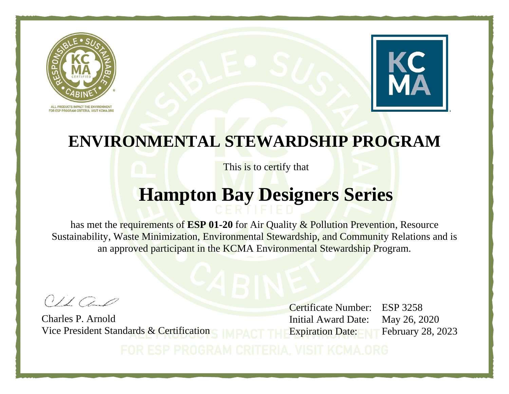



This is to certify that

### **Hampton Bay Designers Series**

has met the requirements of **ESP 01-20** for Air Quality & Pollution Prevention, Resource Sustainability, Waste Minimization, Environmental Stewardship, and Community Relations and is an approved participant in the KCMA Environmental Stewardship Program.

 $O1100$ 

Charles P. Arnold Vice President Standards & Certification

Certificate Number: ESP 3258 Initial Award Date: May 26, 2020 Expiration Date: February 28, 2023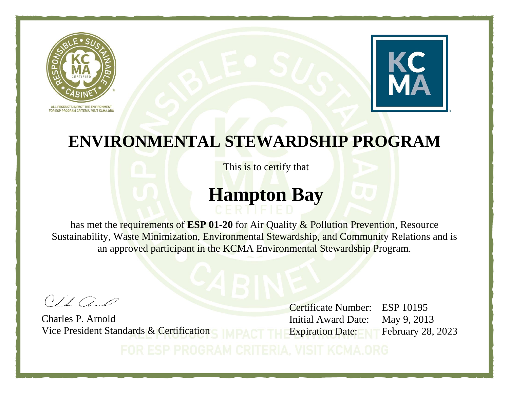



This is to certify that

# **Hampton Bay**

has met the requirements of **ESP 01-20** for Air Quality & Pollution Prevention, Resource Sustainability, Waste Minimization, Environmental Stewardship, and Community Relations and is an approved participant in the KCMA Environmental Stewardship Program.

 $O1100$ 

Charles P. Arnold Vice President Standards & Certification

Certificate Number: ESP 10195 Initial Award Date: May 9, 2013 Expiration Date: February 28, 2023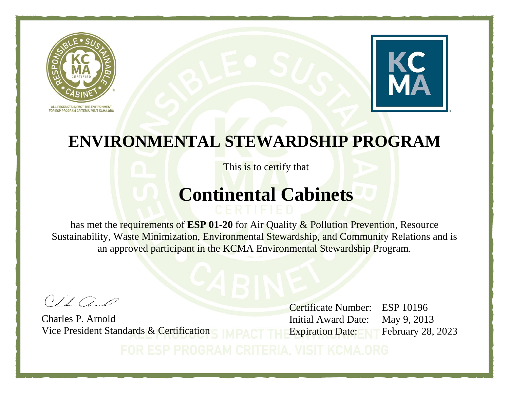



This is to certify that

# **Continental Cabinets**

has met the requirements of **ESP 01-20** for Air Quality & Pollution Prevention, Resource Sustainability, Waste Minimization, Environmental Stewardship, and Community Relations and is an approved participant in the KCMA Environmental Stewardship Program.

 $O1100$ 

Charles P. Arnold Vice President Standards & Certification

Certificate Number: ESP 10196 Initial Award Date: May 9, 2013 Expiration Date: February 28, 2023